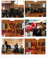